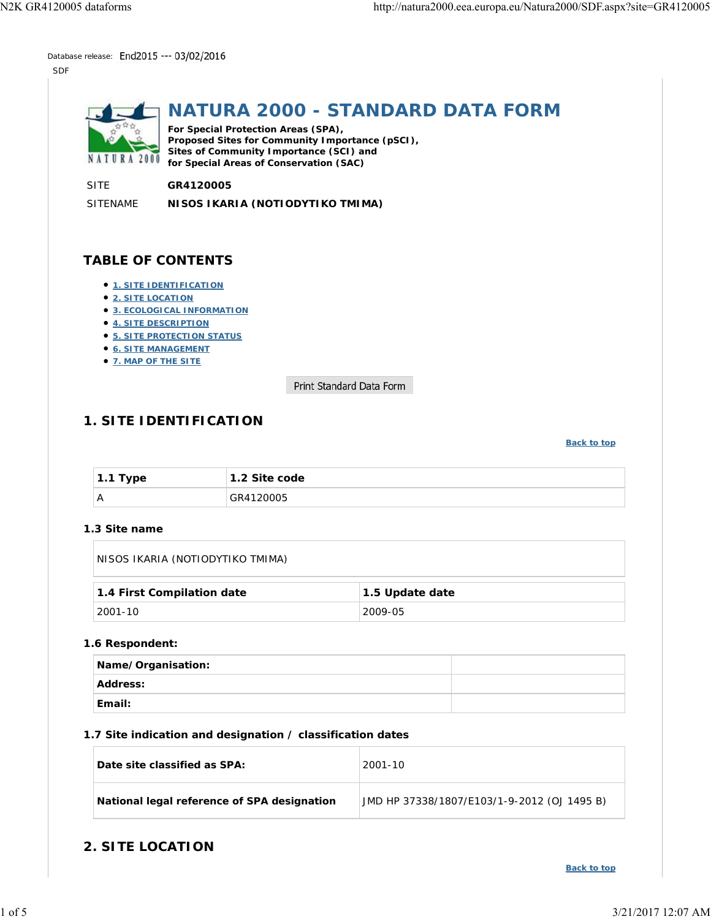Database release: End2015 --- 03/02/2016

SDF



# **NATURA 2000 - STANDARD DATA FORM**

**For Special Protection Areas (SPA), Proposed Sites for Community Importance (pSCI), Sites of Community Importance (SCI) and for Special Areas of Conservation (SAC)**

SITE **GR4120005**

SITENAME **NISOS IKARIA (NOTIODYTIKO TMIMA)**

# **TABLE OF CONTENTS**

- **1. SITE IDENTIFICATION**
- **2. SITE LOCATION**
- **3. ECOLOGICAL INFORMATION**
- **4. SITE DESCRIPTION**
- **5. SITE PROTECTION STATUS**
- **6. SITE MANAGEMENT**
- **7. MAP OF THE SITE**

Print Standard Data Form

# **1. SITE IDENTIFICATION**

#### **Back to top**

| 1.1 Type | $\vert$ 1.2 Site code |
|----------|-----------------------|
| Α        | GR4120005             |

#### **1.3 Site name**

NISOS IKARIA (NOTIODYTIKO TMIMA)

| 1.4 First Compilation date | 1.5 Update date |
|----------------------------|-----------------|
| <sup>⊥</sup> 2001-10       | 2009-05         |

#### **1.6 Respondent:**

| <b>Name/Organisation:</b> |  |
|---------------------------|--|
| Address:                  |  |
| ∣Email:                   |  |

#### **1.7 Site indication and designation / classification dates**

| Date site classified as SPA:                | 2001-10                                     |
|---------------------------------------------|---------------------------------------------|
| National legal reference of SPA designation | JMD HP 37338/1807/E103/1-9-2012 (OJ 1495 B) |

## **2. SITE LOCATION**

**Back to top**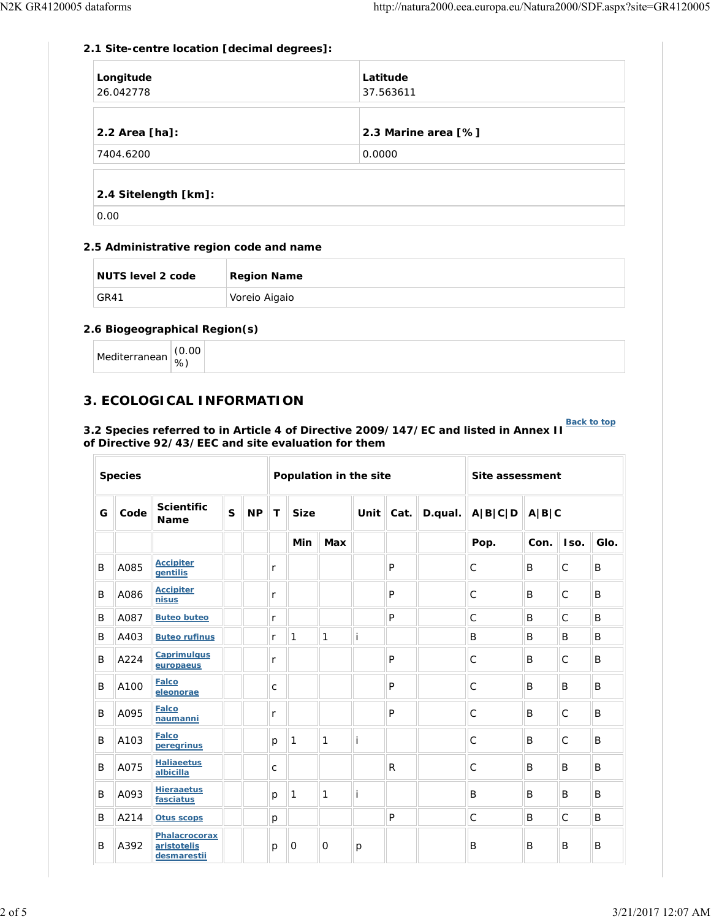### **2.1 Site-centre location [decimal degrees]:**

| Longitude<br>26.042778 | Latitude<br>37.563611 |
|------------------------|-----------------------|
| $2.2$ Area [ha]:       | 2.3 Marine area [%]   |
| 7404.6200              | 0.0000                |
|                        |                       |

### **2.4 Sitelength [km]:**

0.00

### **2.5 Administrative region code and name**

| NUTS level 2 code | <b>Region Name</b> |
|-------------------|--------------------|
| GR41              | Voreio Aigaio      |

### **2.6 Biogeographical Region(s)**

| Mediterranean | (0.00) |  |
|---------------|--------|--|
|               | %      |  |

# **3. ECOLOGICAL INFORMATION**

# **Back to top 3.2 Species referred to in Article 4 of Directive 2009/147/EC and listed in Annex II of Directive 92/43/EEC and site evaluation for them**

|   | <b>Species</b> |                                             |   |           | Population in the site |              |                              |   |              |         | Site assessment |       |              |      |
|---|----------------|---------------------------------------------|---|-----------|------------------------|--------------|------------------------------|---|--------------|---------|-----------------|-------|--------------|------|
| G | Code           | <b>Scientific</b><br><b>Name</b>            | S | <b>NP</b> | T                      | <b>Size</b>  | $\vert$ Cat. $\vert$<br>Unit |   | D.qual.      | A B C D |                 | A B C |              |      |
|   |                |                                             |   |           |                        | Min          | <b>Max</b>                   |   |              |         | Pop.            | Con.  | Iso.         | Glo. |
| B | A085           | <b>Accipiter</b><br>gentilis                |   |           | r                      |              |                              |   | P            |         | С               | B     | $\mathsf{C}$ | B    |
| B | A086           | <b>Accipiter</b><br>nisus                   |   |           | r                      |              |                              |   | P            |         | C               | B     | $\mathsf{C}$ | B    |
| B | A087           | <b>Buteo buteo</b>                          |   |           | r                      |              |                              |   | P            |         | $\mathsf{C}$    | B     | $\mathsf{C}$ | B    |
| B | A403           | <b>Buteo rufinus</b>                        |   |           | r                      | $\mathbf{1}$ | 1                            | İ |              |         | B               | B     | B            | B    |
| B | A224           | <b>Caprimulgus</b><br>europaeus             |   |           | r                      |              |                              |   | P            |         | $\mathsf{C}$    | B     | $\mathsf{C}$ | B    |
| B | A100           | <b>Falco</b><br>eleonorae                   |   |           | $\mathsf{C}$           |              |                              |   | P            |         | $\mathsf C$     | B     | B            | B    |
| B | A095           | <b>Falco</b><br>naumanni                    |   |           | r                      |              |                              |   | P            |         | $\mathsf{C}$    | B     | $\mathsf{C}$ | B    |
| B | A103           | <b>Falco</b><br>peregrinus                  |   |           | p                      | 1            | 1                            | İ |              |         | $\mathsf{C}$    | B     | $\mathsf{C}$ | B    |
| B | A075           | <b>Haliaeetus</b><br>albicilla              |   |           | $\mathsf{C}$           |              |                              |   | R            |         | $\mathsf{C}$    | B     | B            | B    |
| B | A093           | <b>Hieraaetus</b><br>fasciatus              |   |           | p                      | 1            | 1                            | Ť |              |         | B               | B     | B            | B    |
| B | A214           | <b>Otus scops</b>                           |   |           | p                      |              |                              |   | $\mathsf{P}$ |         | $\mathsf C$     | B     | $\mathsf{C}$ | B    |
| B | A392           | Phalacrocorax<br>aristotelis<br>desmarestii |   |           | р                      | $\mathbf{O}$ | $\mathbf{O}$                 | p |              |         | B               | B     | B            | B    |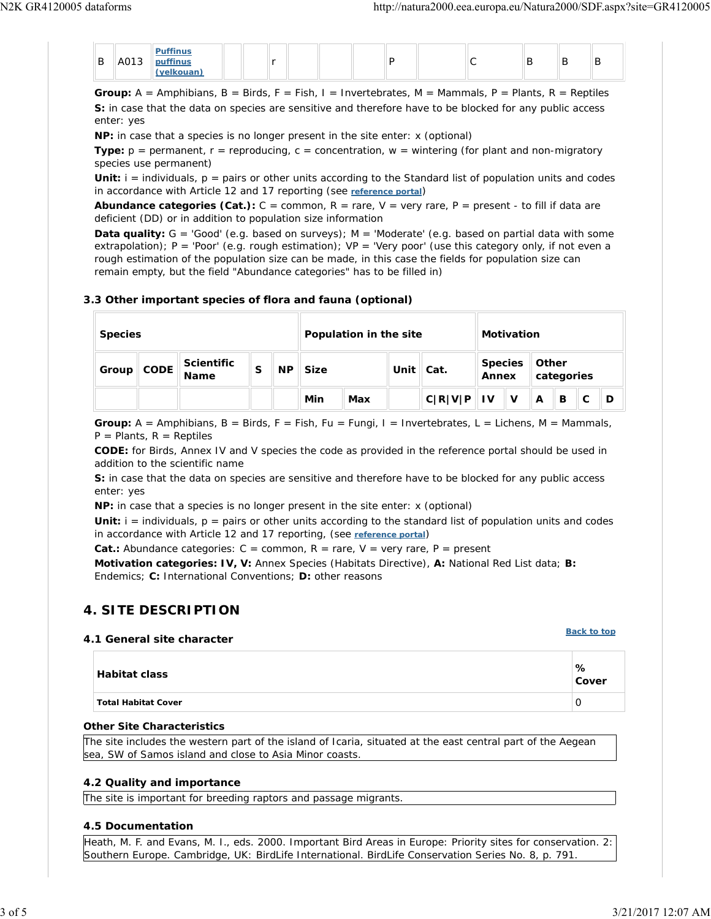|        |      | <b>Puffinus</b> |  |  |  |  |   |   |   |  |
|--------|------|-----------------|--|--|--|--|---|---|---|--|
| D<br>D | A013 | puffinus        |  |  |  |  | - | ້ | B |  |
|        |      | (velkouan)      |  |  |  |  |   |   |   |  |

**Group:**  $A =$  Amphibians,  $B =$  Birds,  $F =$  Fish,  $I =$  Invertebrates,  $M =$  Mammals,  $P =$  Plants,  $R =$  Reptiles **S:** in case that the data on species are sensitive and therefore have to be blocked for any public access enter: yes

**NP:** in case that a species is no longer present in the site enter: x (optional)

**Type:**  $p =$  permanent,  $r =$  reproducing,  $c =$  concentration,  $w =$  wintering (for plant and non-migratory species use permanent)

**Unit:**  $i =$  individuals,  $p =$  pairs or other units according to the Standard list of population units and codes in accordance with Article 12 and 17 reporting (see **reference portal**)

Abundance categories (Cat.): C = common, R = rare, V = very rare, P = present - to fill if data are deficient (DD) or in addition to population size information

**Data quality:** G = 'Good' (e.g. based on surveys); M = 'Moderate' (e.g. based on partial data with some extrapolation); P = 'Poor' (e.g. rough estimation); VP = 'Very poor' (use this category only, if not even a rough estimation of the population size can be made, in this case the fields for population size can remain empty, but the field "Abundance categories" has to be filled in)

#### **3.3 Other important species of flora and fauna (optional)**

| <b>Species</b> |             |                           |   | Population in the site |             |     |                   | <b>Motivation</b> |                         |   |                     |   |  |   |
|----------------|-------------|---------------------------|---|------------------------|-------------|-----|-------------------|-------------------|-------------------------|---|---------------------|---|--|---|
| Group          | <b>CODE</b> | <b>Scientific</b><br>Name | S | <b>NP</b>              | <b>Size</b> |     | Unit $\vert$ Cat. |                   | <b>Species</b><br>Annex |   | Other<br>categories |   |  |   |
|                |             |                           |   |                        | Min         | Max |                   | C R V P  V        |                         | v | A                   | в |  | D |

**Group:** A = Amphibians, B = Birds, F = Fish, Fu = Fungi, I = Invertebrates, L = Lichens, M = Mammals,  $P =$  Plants,  $R =$  Reptiles

**CODE:** for Birds, Annex IV and V species the code as provided in the reference portal should be used in addition to the scientific name

**S:** in case that the data on species are sensitive and therefore have to be blocked for any public access enter: yes

**NP:** in case that a species is no longer present in the site enter: x (optional)

**Unit:**  $i =$  individuals,  $p =$  pairs or other units according to the standard list of population units and codes in accordance with Article 12 and 17 reporting, (see **reference portal**)

**Cat.:** Abundance categories:  $C =$  common,  $R =$  rare,  $V =$  very rare,  $P =$  present

**Motivation categories: IV, V:** Annex Species (Habitats Directive), **A:** National Red List data; **B:** Endemics; **C:** International Conventions; **D:** other reasons

## **4. SITE DESCRIPTION**

#### **4.1 General site character**

# **Habitat class % Cover Total Habitat Cover** 0

#### **Other Site Characteristics**

The site includes the western part of the island of Icaria, situated at the east central part of the Aegean sea, SW of Samos island and close to Asia Minor coasts.

### **4.2 Quality and importance**

The site is important for breeding raptors and passage migrants.

### **4.5 Documentation**

Heath, M. F. and Evans, M. I., eds. 2000. Important Bird Areas in Europe: Priority sites for conservation. 2: Southern Europe. Cambridge, UK: BirdLife International. BirdLife Conservation Series No. 8, p. 791.

**Back to top**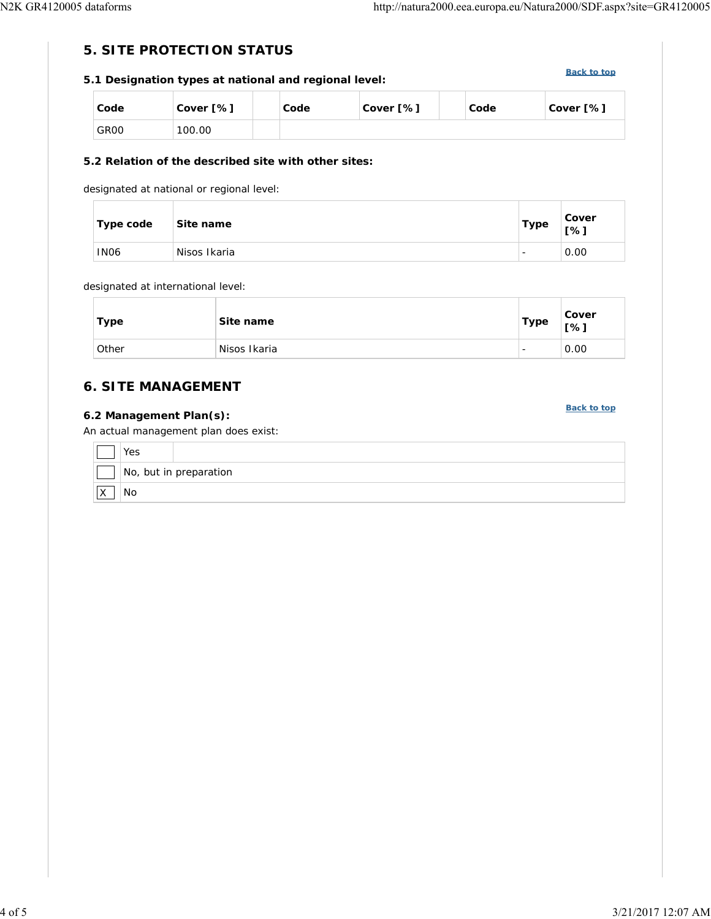# **5. SITE PROTECTION STATUS**

# **5.1 Designation types at national and regional level:**

**Back to top**

**Back to top**

| Code             | Cover [%] | Code | Cover [%] | Code | Cover [%] |
|------------------|-----------|------|-----------|------|-----------|
| GR <sub>00</sub> | 100.00    |      |           |      |           |

### **5.2 Relation of the described site with other sites:**

designated at national or regional level:

| ⊺ype code   | Site name    | <b>Type</b>              | Cover<br>[%] |
|-------------|--------------|--------------------------|--------------|
| <b>IN06</b> | Nisos Ikaria | $\overline{\phantom{0}}$ | 0.00         |

#### designated at international level:

| Type  | Site name    | <b>Type</b>              | Cover<br>[%] |
|-------|--------------|--------------------------|--------------|
| Other | Nisos Ikaria | $\overline{\phantom{0}}$ | 0.00         |

# **6. SITE MANAGEMENT**

### **6.2 Management Plan(s):**

An actual management plan does exist:

|             | ves                    |
|-------------|------------------------|
|             | No, but in preparation |
| $\sim$<br>╵ | No                     |